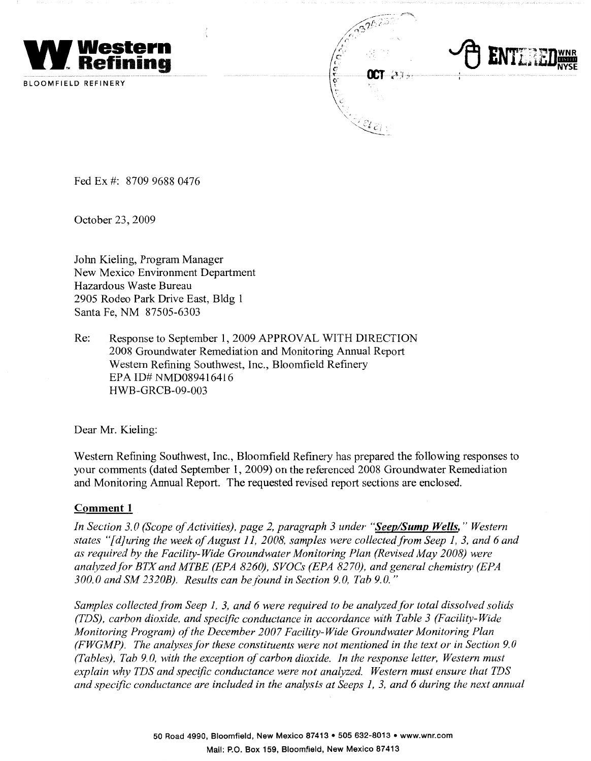

BLOOMFIELD REFINERY

Fed Ex #: 8709 9688 0476

October 23, 2009

John Kieling, Program Manager New Mexico Environment Department Hazardous Waste Bureau 2905 Rodeo Park Drive East, Bldg 1 Santa Fe, NM 87505-6303

Re: Response to September 1, 2009 APPROVAL WITH DIRECTION 2008 Groundwater Remediation and Monitoring Annual Report Western Refining Southwest, Inc., Bloomfield Refinery EPA ID# NMD089416416 HWB-GRCB-09-003

Dear Mr. Kieling:

Western Refining Southwest, Inc., Bloomfield Refinery has prepared the following responses to your comments ( dated September 1, 2009) on the referenced 2008 Groundwater Remediation and Monitoring Annual Report. The requested revised report sections are enclosed.

#### **Comment 1**

*In Section 3.0 (Scope of Activities), page 2, paragraph 3 under "Seep/Sump Wells," Western states "[ d]uring the week of August 11, 2008, samples were collectedfrom Seep 1, 3, and 6 and as required by the Facility-Wide Groundwater Monitoring Plan (Revised May 2008) were analyzed.for BTX and MTBE (EPA 8260), SVOCs (EPA 8270), and general chemistry (EPA 300.0 and SM 2320B). Results can be found in Section 9.0, Tab 9.0."* 

Samples collected from Seep 1, 3, and 6 were required to be analyzed for total dissolved solids *(TDS), carbon dioxide, and specific conductance in accordance with Table 3 (Facility-Wide Monitoring Program) of the December 2007 Facility-Wide Groundwater Monitoring Plan (FWGMP). The analyses for these constituents were not mentioned in the text or in Section 9.0 (Tables), Tab 9.0, with the exception of carbon dioxide. In the response letter, Western must explain why TDS and specific conductance were not analyzed. Western must ensure that TDS and specific conductance are included in the analysis at Seeps 1, 3, and 6 during the next annual*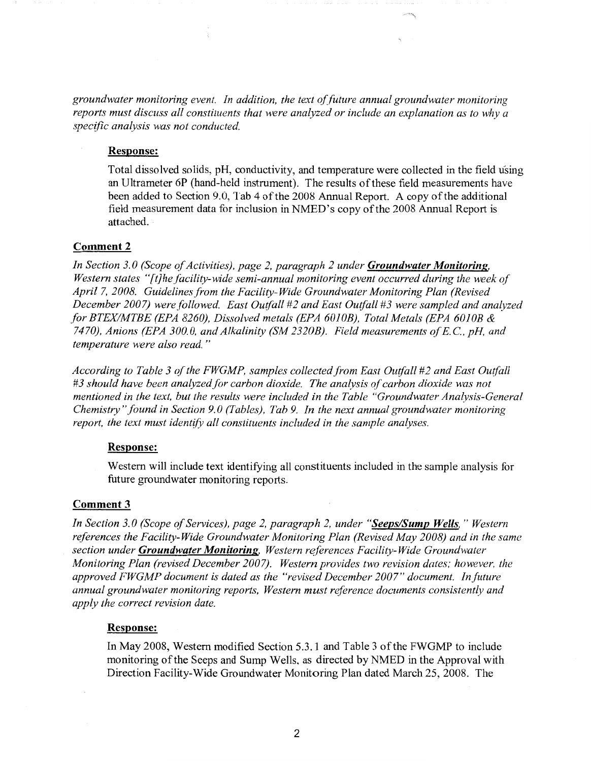*groundwater monitoring event. In addition, the text offuture annual groundwater monitoring reports must discuss all constituents that were analyzed or include an explanation as to why a specific analysis was not conducted.* 

#### **Response:**

Total dissolved solids, pH, conductivity, and temperature were collected in the field using an Ultrameter 6P (hand-held instrument). The results of these field measurements have been added to Section 9.0, Tab 4 of the 2008 Annual Report. A copy of the additional field measurement data for inclusion in NMED's copy of the 2008 Annual Report is attached.

#### **Comment 2**

*In Section 3. 0 (Scope of Activities), page 2, paragraph 2 under Groundwater Monitoring, Western states "[t]hefacility-wide semi-annual monitoring event occurred during the week of April* 7, *2008. Guidelines from the Facility-Wide Groundwater Monitoring Plan (Revised December 2007) were followed. East Outfall #2 and East Outfall #3 were sampled and analyzed for BTEXIMTBE (EPA 8260), Dissolved metals (EPA 6010B), Total Metals (EPA 6010B & 7470), Anions (EPA 300.0, and Alkalinity (SM 2320B). Field measurements ofE.C., pH, and temperature were also read.* "

According to Table 3 of the FWGMP, samples collected from East Outfall #2 and East Outfall *#3 should have been analyzed for carbon dioxide. The analysis of carbon dioxide was not mentioned in the text, but the results were included in the Table "Groundwater Analysis-General Chemistry" found in Section 9. 0 (Tables), Tab 9. In the next annual groundwater monitoring report, the text must identify all constituents included in the sample analyses.* 

#### **Response:**

Western will include text identifying all constituents included in the sample analysis for future groundwater monitoring reports.

#### **Comment3**

*In Section 3. 0 (Scope of Services), page 2, paragraph 2, under "Seeps/Sump Wells,* " *Western references the Facility-Wide Groundwater Monitoring Plan (Revised May 2008) and in the same section under Groundwater Monitoring, Western r~ferences Facility-Wide Groundwater Monitoring Plan (revised December 2007). Western provides two revision dates; however, the approved FWGMP document is dated as the "revised December 2007" document. In.future annual groundwater monitoring reports, Western must reference documents consistently and apply the correct revision date.* 

#### **Response:**

In May 2008, Western modified Section 5.3.1 and Table 3 of the FWGMP to include monitoring of the Seeps and Sump Wells, as directed by NMED in the Approval with Direction Facility-Wide Groundwater Monitoring Plan dated March 25, 2008. The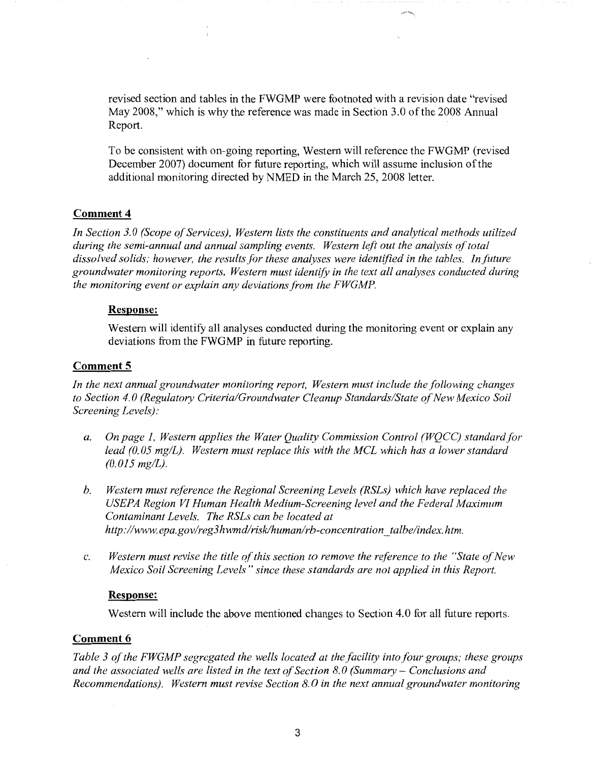revised section and tables in the FWGMP were footnoted with a revision date "revised May 2008," which is why the reference was made in Section 3.0 of the 2008 Annual Report.

To be consistent with on-going reporting, Western will reference the FWGMP (revised December 2007) document for future reporting, which will assume inclusion of the additional monitoring directed by NMED in the March 25, 2008 letter.

#### **Comment 4**

*In Section 3. 0 (Scope of Services), Western lists the constituents and analytical methods utilized during the semi-annual and annual sampling events. Western left out the analysis of total*  dissolved solids; however, the results for these analyses were identified in the tables. In future *groundwater monitoring reports, Western must identify in the text all analyses conducted during the monitoring event or explain any deviations from the FWGMP.* 

#### **Response:**

Western will identify all analyses conducted during the monitoring event or explain any deviations from the FWGMP in future reporting.

#### **Comment 5**

In the next annual groundwater monitoring report, Western must include the following changes *to Section 4. 0 (Regulatory Criteria/Groundwater Cleanup Standards/State of New Mexico Soil Screening Levels):* 

- *a. On page I, Western applies the Water Quality Commission Control (WQCC) standard for lead (0. 05 mg/L). Western must replace this with the MCL which has a lower standard (0.015 mg/L}.*
- *b. Western must reference the Regional Screening Levels (RSLs} which have replaced the USEPA Region VI Human Health Medium-Screening level and the Federal Maximum Contaminant Levels. The RSLs can be located at http:/lwww.epa.gov/reg3 hwmd/risk/humanlrb-concentration \_ta/be/index. htm.*
- c. *Western must revise the title of this section to remove the reference to the "State of New Mexico Soil Screening Levels" since these standards are not applied in this Report.*

#### **Response:**

Western will include the above mentioned changes to Section 4.0 for all future reports.

#### **Comment 6**

*Table 3 of the FWGMP segregated the wells located at the facility into four groups; these groups and the associated wells are listed in the text of Section 8.0 (Summary - Conclusions and Recommendations). Western must revise Section 8.* 0 *in the next annual groundwater monitoring*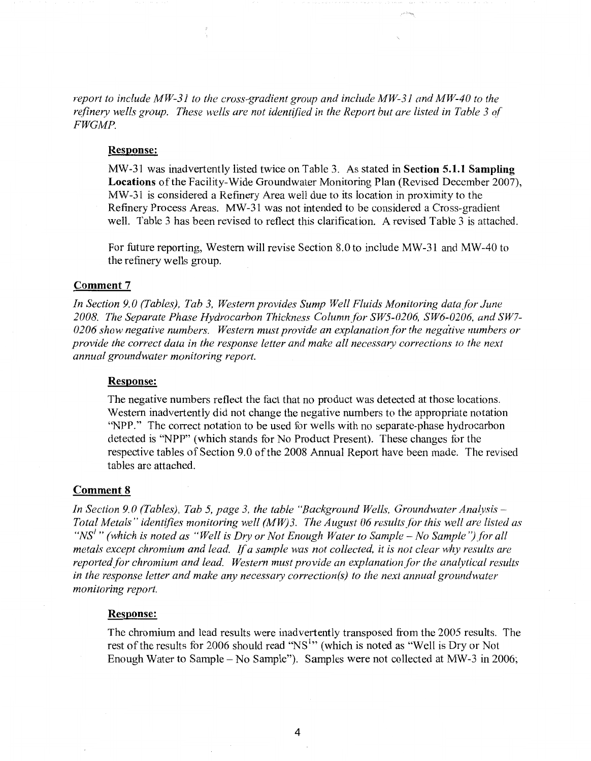*report to include MW-31 to the cross-gradient group and include MW-31 and MW-40 to the*  refinery wells group. These wells are not identified in the Report but are listed in Table 3 of *FWGMP.* 

#### **Response:**

MW-31 was inadvertently listed twice on Table 3. As stated in **Section 5.1.t Sampling Locations** of the Facility-Wide Groundwater Monitoring Plan (Revised December 2007), MW-31 is considered a Refinery Area weli due to its iocation in proximity to the Refinery Process Areas. MW-31 was not intended to be considered a Cross-gradient well. Table 3 has been revised to reflect this clarification. A revised Table 3 is attached.

For future reporting, Western will revise Section 8.0 to include MW-31 and MW-40 to the refinery wells group.

#### **Comment 7**

In Section 9.0 (Tables), Tab 3, Western provides Sump Well Fluids Monitoring data for June *2008. The Separate Phase Hydrocarbon Thickness Column for SWS-0206, SW6-0206, and SW7-* 0206 show negative numbers. Western must provide an explanation for the negative numbers or *provide the correct data in the response letter and make all necessary corrections to the next annual groundwater monitoring report.* 

#### **Response:**

The negative numbers reflect the fact that no product was detected at those locations. Western inadvertently did not change the negative numbers to the appropriate notation ''NPP." The correct notation to be used for wells with no separate-phase hydrocarbon detected is "NPP" (which stands for No Product Present). These changes for the respective tables of Section 9.0 of the 2008 Annual Report have been made. The revised tables are attached.

#### **Comment 8**

*In Section 9. 0 (Tables), Tab* 5, *page 3, the table "Background Wells, Groundwater Analysis* - *Total Metals" identffies monitoring well (MW)3. The August 06 results for this well are listed as "NS<sup>1</sup>" (which is noted as "Well is Dry or Not Enough Water to Sample – No Sample") for all metals except chromium and lead. If a sample was not collected, it is not clear why results are reported for chromium and lead. Western must provide an explanation for the analytical results in the response letter and make any necessary correction(s) to the next annual groundwater monitoring report.* 

#### **Response:**

The chromium and lead results were inadvertently transposed from the 2005 results. The rest of the results for 2006 should read "NS<sup>1</sup>" (which is noted as "Well is Dry or Not Enough Water to Sample - No Sample"). Samples were not collected at MW-3 in 2006;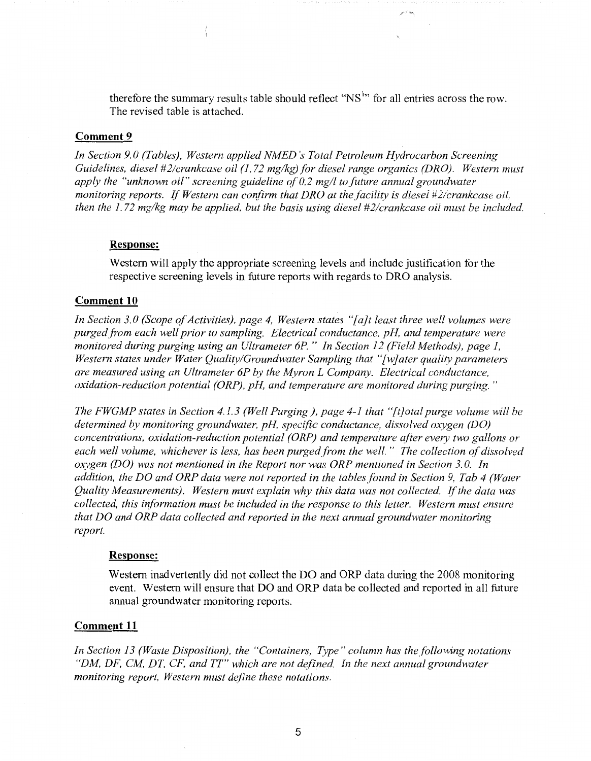therefore the summary results table should reflect " $NS<sup>1</sup>$ " for all entries across the row. The revised table is attached.

#### **Comment 9**

*In Section 9. 0 (Tables), Western applied NMED 's Total Petroleum Hydrocarbon Screening Guidelines, diesel #2/crankcase oil (1.72 mg/kg) for diesel range organics (DRO). Western must apply the "unknown oil" screening guideline of 0.2 mg/l to.future annual groundwater monitoring reports. If Western can confirm that DRO at the facility is diesel #2/crankcase oil, then the 1. 72 mg/kg may be applied, but the basis using diesel #2/crankcase oil must be included.* 

#### **Response:**

Western will apply the appropriate screening levels and include justification for the respective screening levels in future reports with regards to DRO analysis.

#### **Comment 10**

*In Section 3. 0 (Scope of Activities), page 4, Western states "[ a}t least three well volumes were purged from each well prior to sampling. Electrical conductance, pH, and temperature were monitored during purging using an Ultrameter 6P.* " *In Section 12 (Field Methods), page 1, Western states under Water Quality/Groundwater Sampling that "[w}ater quality parameters are measured using an Ultrameter 6P by the Myron L Company. Electrical conductance, oxidation-reduction potential (ORP), pH, and temperature are monitored during purging."* 

*The FWGMP states in Section 4.1.3 (Well Purging), page 4-1 that "[t]otal purge volume will be*  determined by monitoring groundwater, pH, specific conductance, dissolved oxygen (DO) *concentrations, oxidation-reduction potential (ORP) and temperature after every two gallons or each well volume, whichever is less, has been purged.from the well.* " *The collection of dissolved oxygen (DO) was not mentioned in the Report nor was ORP mentioned in Section 3. 0. In addition, the DO and ORP data were not reported in the tables.found in Section 9, Tab 4 (Water Quality Measurements). Western must explain why this data was not collected.* ff *the data was collected, this iriformation must be included in the response to this letter. Western must ensure that DO and ORP data collected and reported in the next annual groundwater monitoring report.* 

#### **Response:**

Western inadvertently did not collect the DO and ORP data during the 2008 monitoring event. Western will ensure that DO and ORP data be collected and reported in all future annual groundwater monitoring reports.

#### **Comment 11**

In Section 13 (Waste Disposition), the "Containers, Type" column has the following notations *"DM, DF, CM, DT, CF, and TT" which are not defined. In the next annual groundwater monitoring report, Western must de\_fine these notations.*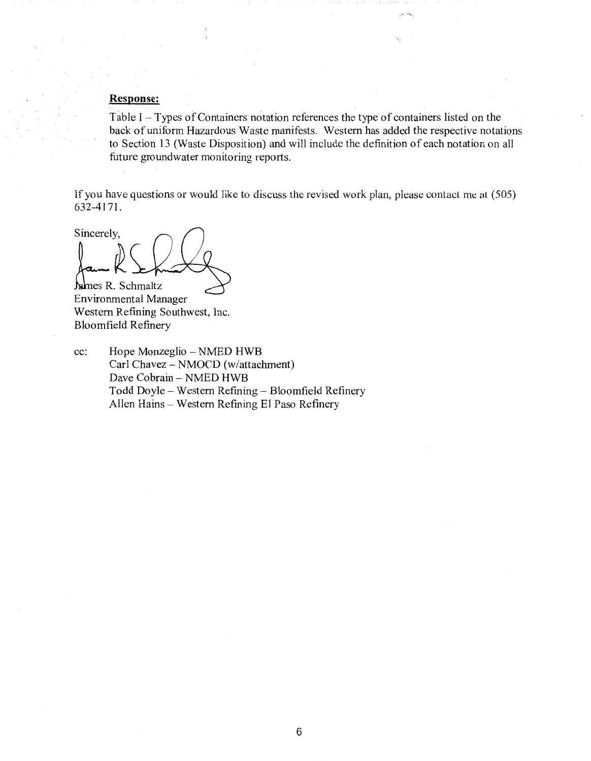#### **Response:**

Table I - Types of Containers notation references the type of containers listed on the back of uniform Hazardous Waste manifests. Western has added the respective notations to Section 13 (Waste Disposition) and will include the definition of each notation on all future groundwater monitoring reports.

If you have questions or would like to discuss the revised work plan, please contact me al (505) 632-4171.

Sincerely, James R. Schmaltz

Environmental Manager Western Refining Southwest, Inc. Bloomfield Refinery

cc: Hope Monzeglio - NMED HWB Carl Chavez - NMOCD (w/attachment) Dave Cobrain - NMED HWB Todd Doyle - Western Refining - Bloomfield Refinery Allen Hains - Western Refining El Paso Refinery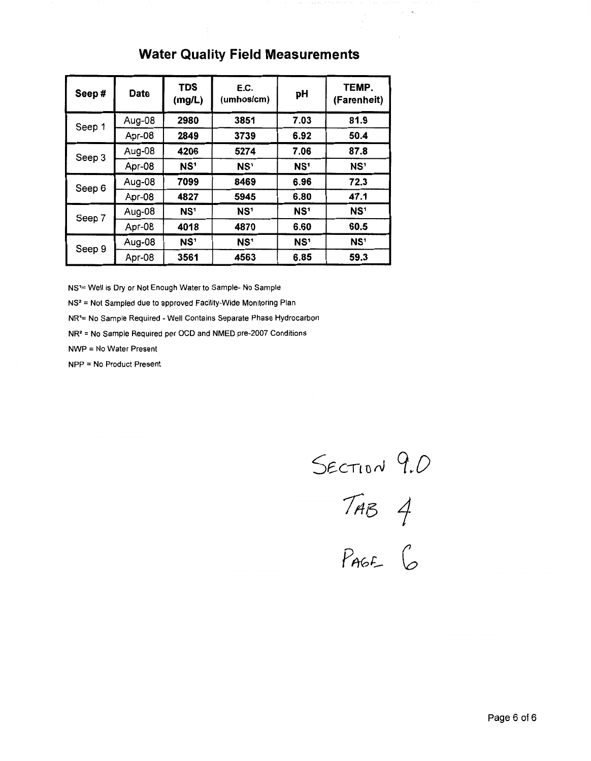## **Water Quality Field Measurements**

| Seep#  | <b>Date</b> | <b>TDS</b><br>(mg/L) | E.C.<br>(umhos/cm) | рH              | TEMP.<br>(Farenheit) |  |
|--------|-------------|----------------------|--------------------|-----------------|----------------------|--|
| Seep 1 | Aug-08      | 2980                 | 3851               | 7.03            | 81.9                 |  |
|        | Apr-08      | 2849                 | 3739               | 6.92            | 50.4                 |  |
| Seep 3 | Aug-08      | 4206                 | 5274               | 7.06            | 87.8                 |  |
|        | Apr-08      | NS <sup>1</sup>      | NS <sup>1</sup>    | NS <sup>1</sup> | NS <sup>1</sup>      |  |
| Seep 6 | Aug-08      | 7099                 | 8469               | 6.96            | 72.3                 |  |
|        | Apr-08      | 4827                 | 5945               | 6.80            | 47.1                 |  |
| Seep 7 | Aug-08      | NS <sup>1</sup>      | NS <sup>1</sup>    | NS <sup>1</sup> | NS <sup>1</sup>      |  |
|        | Apr-08      | 4018                 | 4870               | 6.60            | 60.5                 |  |
|        | Aug-08      | NS <sup>1</sup>      | NS <sup>1</sup>    | NS <sup>1</sup> | NS <sup>1</sup>      |  |
| Seep 9 | Apr-08      | 3561                 | 4563               | 6.85            | 59.3                 |  |

NS'= Well is Dry or Not Enough Water to Sample- No Sample

NS2 = Not Sampled due to approved Facility-Wide Monitoring Plan

NR'= No Sample Required - Well Contains Separate Phase Hydrocarbon

NR2 = No Sample Required per OCD and NMED pre-2007 Conditions

NWP = No Water Present

NPP = No Product Present

SECTION 9.0<br>TAB 4<br>PAGE 6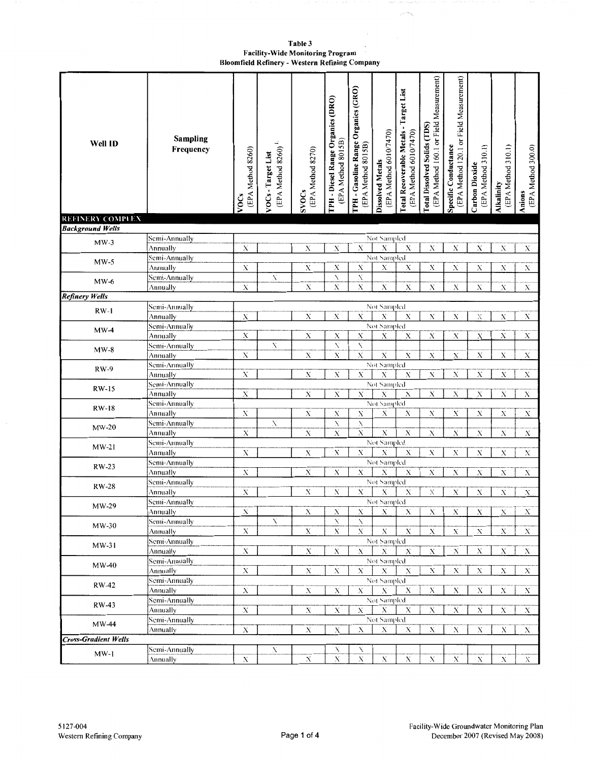Table 3 Facility-Wide Monitoring Program<br>Bloomfield Refinery - Western Refining Company

| Well ID                     | <b>Sampling</b><br>Frequency | (EPA Method 8260)<br><b>VOCs</b> | $\rm (EPA~Method~8260)$ $^1$<br>VOCs-Target List | (EPA Method 8270)<br><b>SVOCs</b> | TPH - Diesel Range Organics (DRO)<br>(EPA Method 8015B) | TPH - Gasoline Range Organics (GRO)<br>(EPA Method 8015B) | (EPA Method 6010/7470)<br><b>Dissolved Metals</b> | Total Recoverable Metals - Target List<br>(EPA Method 6010/7470) | (EPA Method 160.1 or Field Measurement)<br>Total Dissolved Solids (TDS) | (EPA Method 120.1 or Field Measurement)<br>Specific Conductance | (EPA Method 310.1)<br>Carbon Dioxide | (EPA Method 310.1)<br>Alkalinity | (EPA Method 300.0)<br>Anions |
|-----------------------------|------------------------------|----------------------------------|--------------------------------------------------|-----------------------------------|---------------------------------------------------------|-----------------------------------------------------------|---------------------------------------------------|------------------------------------------------------------------|-------------------------------------------------------------------------|-----------------------------------------------------------------|--------------------------------------|----------------------------------|------------------------------|
| <b>REFINERY COMPLEX</b>     |                              |                                  |                                                  |                                   |                                                         |                                                           |                                                   |                                                                  |                                                                         |                                                                 |                                      |                                  |                              |
| <b>Background Wells</b>     |                              |                                  |                                                  |                                   |                                                         |                                                           |                                                   |                                                                  |                                                                         |                                                                 |                                      |                                  |                              |
| $MW-3$                      | Semi-Annually                |                                  |                                                  |                                   |                                                         |                                                           | Not Sampled                                       |                                                                  |                                                                         |                                                                 |                                      |                                  |                              |
|                             | Annually                     | $\mathbf X$                      |                                                  | X                                 | $\mathbf X$                                             | $\boldsymbol{\mathrm{X}}$                                 | $\mathbf X$                                       | Х                                                                | X                                                                       | X                                                               | X                                    | Х                                | X                            |
| $MW-5$                      | Semi-Annually                |                                  |                                                  |                                   |                                                         |                                                           | Not Sampled                                       |                                                                  |                                                                         |                                                                 |                                      |                                  |                              |
|                             | Annually                     | Х                                |                                                  | X                                 | Х                                                       | Х                                                         | Х                                                 | X                                                                | Х                                                                       | X                                                               | Х                                    | Х                                | Х                            |
| $MW-6$                      | Semi-Annually                |                                  | X                                                |                                   | X                                                       | N.<br>$\mathbf X$                                         |                                                   |                                                                  |                                                                         |                                                                 |                                      |                                  |                              |
|                             | Annually                     | $\mathbf X$                      |                                                  | $\mathbf X$                       | $\mathbf X$                                             |                                                           | $\mathbf X$                                       | X                                                                | X                                                                       | X                                                               | $\mathbf X$                          | Х                                | Х                            |
| <b>Refinery Wells</b>       |                              |                                  |                                                  |                                   |                                                         |                                                           |                                                   |                                                                  |                                                                         |                                                                 |                                      |                                  |                              |
| $RW-1$                      | Semi-Annually                |                                  |                                                  | $\mathbf{X}$                      | $\mathbf X$                                             | $\mathbf X$                                               | Not Sampled<br>Х                                  | $\mathbf X$                                                      | $\overline{\mathbf{X}}$                                                 | $\overline{\mathbf{X}}$                                         | $\boldsymbol{\mathrm{X}}$            | $\mathbf X$                      | $\mathbf X$                  |
|                             | Annually                     | Х                                |                                                  |                                   |                                                         |                                                           | Not Sampled                                       |                                                                  |                                                                         |                                                                 |                                      |                                  |                              |
| $MW-4$                      | Semi-Annually                | X                                |                                                  | X                                 | Х                                                       | X                                                         | Х                                                 | х                                                                | $\mathbf X$                                                             | X                                                               | X                                    | $\boldsymbol{\mathsf{X}}$        | Х                            |
|                             | Annually<br>Semi-Annually    |                                  | X                                                |                                   | X                                                       | X                                                         |                                                   |                                                                  |                                                                         |                                                                 |                                      |                                  |                              |
| $MW-8$                      | Annually                     | $\overline{\mathbf{X}}$          |                                                  | $\mathbf X$                       | Х                                                       | $\mathbf X$                                               | $\mathbf X$                                       | $\mathbf X$                                                      | X                                                                       | X                                                               | $\mathbf X$                          | $\mathbf X$                      | Х                            |
|                             | Semi-Annually                |                                  |                                                  |                                   |                                                         |                                                           | Not Sampled                                       |                                                                  |                                                                         |                                                                 |                                      |                                  |                              |
| <b>RW-9</b>                 | Annually                     | Х                                |                                                  | X                                 | Х                                                       | $\boldsymbol{\mathrm{X}}$                                 | $\mathbf X$                                       | X                                                                | X                                                                       | $\mathbf X$                                                     | X                                    | Х                                | X                            |
|                             | Semi-Annually                |                                  |                                                  |                                   |                                                         |                                                           | Not Sampled                                       |                                                                  |                                                                         |                                                                 |                                      |                                  |                              |
| <b>RW-15</b>                | Annually                     | X                                |                                                  | $\mathbf X$                       | $\mathbf X$                                             | $\mathbf X$                                               | $\mathbf X$                                       | X                                                                | X                                                                       | $\mathbf X$                                                     | $\mathbf X$                          | Х                                | X                            |
|                             | Semi-Annually                |                                  |                                                  |                                   |                                                         |                                                           | Not Sampled                                       |                                                                  |                                                                         |                                                                 |                                      |                                  |                              |
| <b>RW-18</b>                | Annually                     | $\mathbf X$                      |                                                  | $\mathbf X$                       | Х                                                       | X                                                         | $\mathbf X$                                       | X                                                                | Х                                                                       | X                                                               | $\mathbf X$                          | X                                | X                            |
|                             | Semi-Annually                |                                  | N                                                |                                   | N                                                       | N                                                         |                                                   |                                                                  |                                                                         |                                                                 |                                      |                                  |                              |
| $MW-20$                     | Annually                     | Х                                |                                                  | X                                 | Х                                                       | $\mathbf X$                                               | $\mathbf X$                                       | $\boldsymbol{\mathsf{X}}$                                        | X                                                                       | Х                                                               | X                                    | Х                                | X                            |
|                             | Semi-Annually                |                                  |                                                  |                                   |                                                         |                                                           | Not Sampled                                       |                                                                  |                                                                         |                                                                 |                                      |                                  |                              |
| $MW-21$                     | Annually                     | Х                                |                                                  | X                                 | X                                                       | $\boldsymbol{\mathrm{X}}$                                 | X                                                 | Х                                                                | X                                                                       | $\mathbf X$                                                     | X                                    | X                                | $\mathbf X$                  |
|                             | Semi-Annually                |                                  |                                                  |                                   |                                                         |                                                           | Not Sampled                                       |                                                                  |                                                                         |                                                                 |                                      |                                  |                              |
| RW-23                       | Annually                     | Х                                |                                                  | Х                                 | Х                                                       | Х                                                         | Х                                                 | X                                                                | $\mathbf X$                                                             | Х                                                               | X                                    | Х                                | Х                            |
| <b>RW-28</b>                | Semi-Annually                |                                  |                                                  |                                   |                                                         |                                                           | Not Sampled                                       |                                                                  |                                                                         |                                                                 |                                      |                                  |                              |
|                             | Annually                     | X                                |                                                  | $\mathbf X$                       | Х                                                       | Х                                                         | X                                                 | Х                                                                | X                                                                       | X                                                               | X                                    | Х                                | Х                            |
| MW-29                       | Semi-Annually                |                                  |                                                  |                                   |                                                         |                                                           | Not Sampled                                       |                                                                  |                                                                         |                                                                 |                                      |                                  |                              |
|                             | Annually                     | X                                |                                                  | X                                 | Х                                                       | Х                                                         | X                                                 | Х                                                                | Х                                                                       | Х                                                               | X                                    | Х                                | X.                           |
| $MW-30$                     | Semi-Annually                |                                  | N                                                |                                   | N                                                       | X                                                         |                                                   |                                                                  |                                                                         |                                                                 |                                      |                                  |                              |
|                             | Annually                     | X                                |                                                  | X                                 | X                                                       | $\mathbf X$                                               | $\mathbf X$                                       | $\mathbf X$                                                      | Х                                                                       | X                                                               | X                                    | Х                                | $\mathbf X$                  |
| $MW-31$                     | Semi-Annually                |                                  |                                                  |                                   |                                                         |                                                           | Not Sampled                                       |                                                                  |                                                                         |                                                                 |                                      |                                  |                              |
|                             | Annually                     | $\mathbf X$                      |                                                  | $\mathbf X$                       | $\mathbf X$                                             | X                                                         | $\mathbf X$                                       | X                                                                | $\mathbf X$                                                             | $\mathbf X$                                                     | $\mathbf X$                          | Х                                | $X_{-}$                      |
| $MW-40$                     | Semi-Annually                |                                  |                                                  |                                   |                                                         |                                                           | Not Sampled                                       |                                                                  |                                                                         |                                                                 |                                      |                                  |                              |
|                             | Annually                     | Х                                |                                                  | X                                 | X                                                       | Х                                                         | Х                                                 | X                                                                | $\mathbf X$                                                             | X                                                               | $\mathbf X$                          | Х                                | X                            |
| RW-42                       | Semi-Annually                |                                  |                                                  |                                   |                                                         |                                                           | Not Sampled                                       |                                                                  |                                                                         |                                                                 |                                      |                                  |                              |
|                             | Annually                     | Х                                |                                                  | X                                 | X                                                       | Х                                                         | X                                                 | Х                                                                | Х                                                                       | X                                                               | Х                                    | Х                                | $X_{-}$                      |
| RW-43                       | Semi-Annually                |                                  |                                                  |                                   |                                                         |                                                           | Not Sampled                                       |                                                                  |                                                                         |                                                                 |                                      |                                  |                              |
|                             | Annually                     | X                                |                                                  | $\mathbf X$                       | Х                                                       | $\overline{\mathbf{X}}$                                   | $\mathbf{X}$                                      | $\mathbf X$                                                      | $\boldsymbol{\mathsf{X}}$                                               | $\mathbf X$                                                     | $\mathbf X$                          | $\mathbf X$                      | $\mathbf{X}$                 |
| $MW-44$                     | Semi-Annually                |                                  |                                                  |                                   |                                                         |                                                           | Not Sampled                                       |                                                                  |                                                                         |                                                                 |                                      |                                  |                              |
|                             | <b>Annually</b>              | X                                |                                                  | X                                 | $\mathbf X$                                             | $\mathbf X$                                               | $\mathbf X$                                       | Х                                                                | X                                                                       | $\mathbf X$                                                     | X                                    | Х                                | X.                           |
| <b>Cross-Gradient Wells</b> |                              |                                  |                                                  |                                   |                                                         |                                                           |                                                   |                                                                  |                                                                         |                                                                 |                                      |                                  |                              |
| $MW-1$                      | Semi-Annually                |                                  | N                                                |                                   | N                                                       | N                                                         |                                                   |                                                                  |                                                                         |                                                                 |                                      |                                  |                              |
|                             | Annually                     | X                                |                                                  | X                                 | Х                                                       | $\mathbf X$                                               | X                                                 | X                                                                | X                                                                       | $\mathbf X$                                                     | X                                    | X                                | X.                           |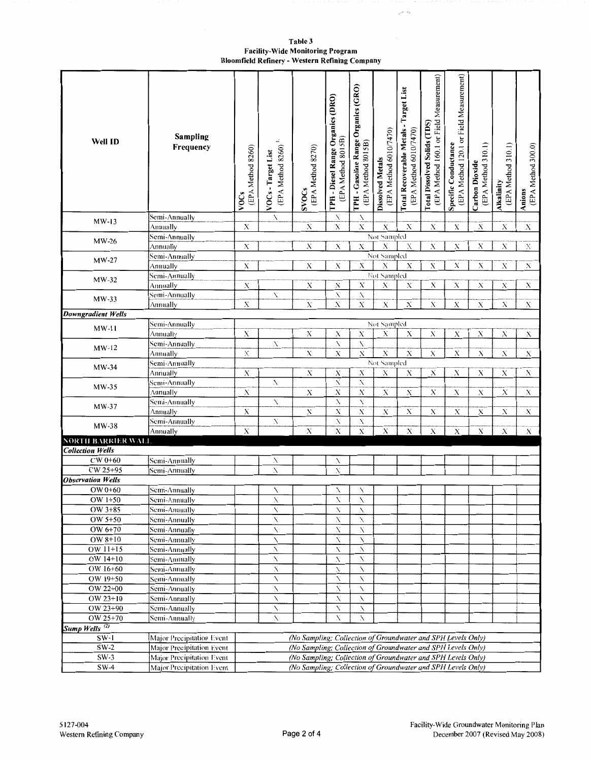Table 3 **Facility-Wide Monitoring Program** Bloomfield Refinery - Western Refining Company  $\mathcal{P}^{\alpha_1 \cdots \alpha_k}$ 

| Well ID                   | Sampling<br>Frequency     | (EPA Method 8260)<br><b>VOCs</b>                             | $\div$<br>(EPA Method 8260)<br>VOCs-Target List | (EPA Method 8270)<br><b>SVOCs</b>                            | TPH - Diesel Range Organics (DRO)<br>(EPA Method 8015B) | TPH - Gasoline Range Organics (GRO)<br>(EPA Method 8015B) | (EPA Method 6010/7470)<br><b>Dissolved Metals</b> | Total Recoverable Metals - Target List<br>(EPA Method 6010/7470) | (EPA Method 160.1 or Field Measurement)<br>Total Dissolved Solids (TDS) | (EPA Method 120.1 or Field Measurement)<br>Specific Conductance | (EPA Method 310.1)<br><b>Carbon Dioxide</b> | (EPA Method 310.1)<br><b>Alkalinity</b> | (EPA Method 300.0)<br>Anions |
|---------------------------|---------------------------|--------------------------------------------------------------|-------------------------------------------------|--------------------------------------------------------------|---------------------------------------------------------|-----------------------------------------------------------|---------------------------------------------------|------------------------------------------------------------------|-------------------------------------------------------------------------|-----------------------------------------------------------------|---------------------------------------------|-----------------------------------------|------------------------------|
| $MW-13$                   | Semi-Annually             |                                                              | X                                               |                                                              | N                                                       | N                                                         |                                                   | $\mathbf X$                                                      |                                                                         |                                                                 |                                             |                                         |                              |
|                           | Annually                  | $\mathbf X$                                                  |                                                 | X                                                            | Х                                                       | X                                                         | Х<br>Not Sampled                                  |                                                                  | $\mathbf X$                                                             | X                                                               | Х                                           | Х                                       | $\mathbf X$                  |
| $MW-26$                   | Semi-Annually             | $\mathbf X$                                                  |                                                 | X                                                            | $\mathbf X$                                             | $\mathbf X$                                               | Х                                                 | Х                                                                | $\mathbf X$                                                             | $\mathbf X$                                                     | Х                                           | X                                       | $\mathbf X$                  |
|                           | Annually<br>Semi-Annually |                                                              |                                                 |                                                              |                                                         |                                                           | Not Sampled                                       |                                                                  |                                                                         |                                                                 |                                             |                                         |                              |
| $MW-27$                   | Annually                  | $\mathbf X$                                                  |                                                 | $\mathbf X$                                                  | $\mathbf X$                                             | $\mathbf X$                                               | X                                                 | $\mathbf X$                                                      | X                                                                       | $\mathbf X$                                                     | X                                           | X                                       | $\mathbf X$                  |
|                           | Semi-Annually             |                                                              |                                                 |                                                              |                                                         |                                                           | Not Sampled                                       |                                                                  |                                                                         |                                                                 |                                             |                                         |                              |
| $MW-32$                   | Annually                  | X                                                            |                                                 | $\mathbf X$                                                  | X                                                       | Х                                                         | X                                                 | X                                                                | Х                                                                       | Х                                                               | Х                                           | Х                                       | Х                            |
|                           | Semi-Annually             |                                                              | X                                               |                                                              | N                                                       | N                                                         |                                                   |                                                                  |                                                                         |                                                                 |                                             |                                         |                              |
| $MW-33$                   | Annually                  | $\mathbf X$                                                  |                                                 | $\mathbf X$                                                  | $\mathbf X$                                             | $\mathbf X$                                               | $\mathbf X$                                       | $\overline{\mathbf{X}}$                                          | $\overline{\mathbf{X}}$                                                 | $\mathbf X$                                                     | X                                           | Х                                       | $\mathbf X$                  |
| Downgradient Wells        |                           |                                                              |                                                 |                                                              |                                                         |                                                           |                                                   |                                                                  |                                                                         |                                                                 |                                             |                                         |                              |
| $MW-11$                   | Semi-Annually             |                                                              |                                                 |                                                              |                                                         |                                                           | Not Sampled                                       |                                                                  |                                                                         |                                                                 |                                             |                                         |                              |
|                           | Annually                  | Х                                                            |                                                 | $_{\rm X}$                                                   | Х                                                       | Х                                                         | Х                                                 | Х                                                                | $\mathbf X$                                                             | $\mathbf X$                                                     | X                                           | Х                                       | Х                            |
| $MW-12$                   | Semi-Annually             |                                                              | X                                               |                                                              | $\mathbf X$                                             | X                                                         |                                                   |                                                                  |                                                                         |                                                                 |                                             |                                         |                              |
|                           | Annually                  | $\mathbf X$                                                  |                                                 | $\boldsymbol{\mathsf{X}}$                                    | $\mathbf X$                                             | $\mathbf X$                                               | $\mathbf X$                                       | $\mathbf X$                                                      | $\mathbf X$                                                             | $\mathbf X$                                                     | Х                                           | Х                                       | $\mathbf X$                  |
| MW-34                     | Semi-Annually             |                                                              |                                                 |                                                              |                                                         |                                                           | Not Sampled                                       |                                                                  |                                                                         |                                                                 |                                             |                                         |                              |
|                           | Annually                  | $\mathbf X$                                                  |                                                 | X                                                            | X                                                       | $\mathbf X$                                               | Х                                                 | Х                                                                | $\mathbf X$                                                             | $\mathbf X$                                                     | Х                                           | Х                                       | $\mathbf X$                  |
| $MW-35$                   | Semi-Annually             |                                                              | N                                               |                                                              | X                                                       | Х                                                         |                                                   |                                                                  |                                                                         |                                                                 |                                             |                                         |                              |
|                           | Annually                  | $\mathbf X$                                                  |                                                 | $\mathbf X$                                                  | $\mathbf X$                                             | $\boldsymbol{X}$                                          | $\mathbf X$                                       | X                                                                | $\mathbf x$                                                             | Х                                                               | Х                                           | Х                                       | Х                            |
| $MW-37$                   | Semi-Annually             |                                                              | N                                               |                                                              | N                                                       | $\overline{\mathcal{N}}$                                  |                                                   |                                                                  |                                                                         |                                                                 |                                             |                                         |                              |
|                           | Annually                  | $\mathbf X$                                                  |                                                 | $_{\rm X}$                                                   | $\mathbf X$                                             | X                                                         | $\mathbf X$                                       | Х                                                                | X                                                                       | Х                                                               | Х                                           | Х                                       | Х                            |
| MW-38                     | Semi-Annually             |                                                              | N                                               |                                                              | $\overline{X}$                                          | $\boldsymbol{X}$                                          |                                                   |                                                                  |                                                                         |                                                                 |                                             |                                         |                              |
|                           | Annually                  | $\mathbf X$                                                  |                                                 | $\mathbf X$                                                  | $\overline{\mathbf{X}}$                                 | $\overline{X}$                                            | $\overline{\mathbf{X}}$                           | $\overline{\mathbf{X}}$                                          | $\mathbf X$                                                             | $\mathbf X$                                                     | $\mathbf X$                                 | $\mathbf X$                             | $\mathbf X$                  |
| NORTH BARRIER WALL        |                           |                                                              |                                                 |                                                              |                                                         |                                                           |                                                   |                                                                  |                                                                         |                                                                 |                                             |                                         |                              |
| <b>Collection Wells</b>   |                           |                                                              |                                                 |                                                              |                                                         |                                                           |                                                   |                                                                  |                                                                         |                                                                 |                                             |                                         |                              |
| $CW 0+60$<br>CW 25+95     | Semi-Annually             |                                                              | Х<br>Ń                                          |                                                              | N<br>X                                                  |                                                           |                                                   |                                                                  |                                                                         |                                                                 |                                             |                                         |                              |
| <b>Observation Wells</b>  | Semi-Annually             |                                                              |                                                 |                                                              |                                                         |                                                           |                                                   |                                                                  |                                                                         |                                                                 |                                             |                                         |                              |
| OW 0+60                   | Semi-Annually             |                                                              | N                                               |                                                              | N                                                       |                                                           |                                                   |                                                                  |                                                                         |                                                                 |                                             |                                         |                              |
| OW $1+50$                 | Semi-Annually             |                                                              | $\overline{\mathbf{X}}$                         |                                                              | N                                                       | $\overline{\mathcal{N}}$                                  |                                                   |                                                                  |                                                                         |                                                                 |                                             |                                         |                              |
| OW 3+85                   | Semi-Annually             |                                                              | N                                               |                                                              | N                                                       | N                                                         |                                                   |                                                                  |                                                                         |                                                                 |                                             |                                         |                              |
| OW 5+50                   | Semi-Annually             |                                                              | Х                                               |                                                              | X                                                       | Х                                                         |                                                   |                                                                  |                                                                         |                                                                 |                                             |                                         |                              |
| OW 6+70                   | Semi-Annually             |                                                              | N                                               |                                                              | Х                                                       | X                                                         |                                                   |                                                                  |                                                                         |                                                                 |                                             |                                         |                              |
| OW 8+10                   | Semi-Annually             |                                                              | Ń                                               |                                                              | X                                                       | N                                                         |                                                   |                                                                  |                                                                         |                                                                 |                                             |                                         |                              |
| OW $11+15$                | Semi-Annually             |                                                              | Х                                               |                                                              | X                                                       | N                                                         |                                                   |                                                                  |                                                                         |                                                                 |                                             |                                         |                              |
| OW 14+10                  | Semi-Annually             |                                                              | N                                               |                                                              | Х                                                       | N                                                         |                                                   |                                                                  |                                                                         |                                                                 |                                             |                                         |                              |
| OW 16+60                  | Semi-Annually             |                                                              | Х                                               |                                                              | Х                                                       | N                                                         |                                                   |                                                                  |                                                                         |                                                                 |                                             |                                         |                              |
| $\overline{OW19+50}$      | Semi-Annually             |                                                              | N                                               |                                                              | N                                                       | N                                                         |                                                   |                                                                  |                                                                         |                                                                 |                                             |                                         |                              |
| OW 22+00                  | Semi-Annually             |                                                              | N                                               |                                                              | N                                                       | Ν                                                         |                                                   |                                                                  |                                                                         |                                                                 |                                             |                                         |                              |
| OW 23+10                  | Semi-Annually             |                                                              | N                                               |                                                              | X                                                       | X                                                         |                                                   |                                                                  |                                                                         |                                                                 |                                             |                                         |                              |
| OW 23+90                  | Semi-Annually             |                                                              | N                                               |                                                              | X                                                       | X                                                         |                                                   |                                                                  |                                                                         |                                                                 |                                             |                                         |                              |
| OW 25+70                  | Semi-Annually             |                                                              | N                                               |                                                              | X                                                       | X                                                         |                                                   |                                                                  |                                                                         |                                                                 |                                             |                                         |                              |
| Sump Wells <sup>(2)</sup> |                           |                                                              |                                                 |                                                              |                                                         |                                                           |                                                   |                                                                  |                                                                         |                                                                 |                                             |                                         |                              |
| $SW-1$                    | Major Precipitation Event |                                                              |                                                 | (No Sampling; Collection of Groundwater and SPH Levels Only) |                                                         |                                                           |                                                   |                                                                  |                                                                         |                                                                 |                                             |                                         |                              |
| $SW-2$                    | Major Precipitation Event |                                                              |                                                 | (No Sampling; Collection of Groundwater and SPH Levels Only) |                                                         |                                                           |                                                   |                                                                  |                                                                         |                                                                 |                                             |                                         |                              |
| $SW-3$                    | Major Precipitation Event |                                                              |                                                 | (No Sampling; Collection of Groundwater and SPH Levels Only) |                                                         |                                                           |                                                   |                                                                  |                                                                         |                                                                 |                                             |                                         |                              |
| $SW-4$                    | Major Precipitation Event | (No Sampling; Collection of Groundwater and SPH Levels Only) |                                                 |                                                              |                                                         |                                                           |                                                   |                                                                  |                                                                         |                                                                 |                                             |                                         |                              |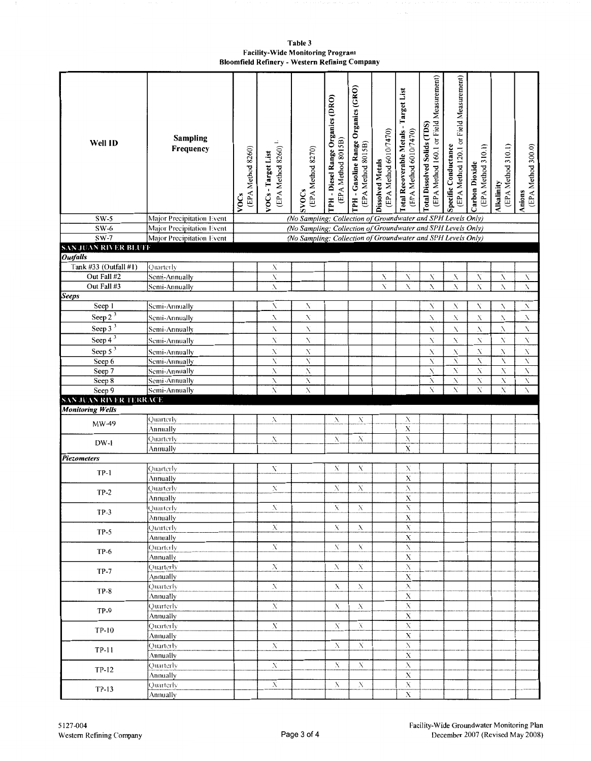**Table3 Facility-Wide Monitoring Program Bloomfield Refinery** - **Western Refining Company** 

| Well ID                       | <b>Sampling</b><br>Frequency                           | (EPA Method 8260)<br>VOCs | ÷,<br>(EPA Method 8260)<br>VOCs - Target List | (EPA Method 8270)<br><b>SVOCs</b>                                                                                            | <b>TPH - Diesel Range Organics (DRO)</b><br>(EPA Method 8015B) | TPH - Gasoline Range Organics (GRO)<br>(EPA Method 8015B) | (EPA Method 6010/7470)<br><b>Dissolved Metals</b> | Total Recoverable Metals - Target List<br>(EPA Method 6010/7470) | (EPA Method 160.1 or Field Measurement)<br>Total Dissolved Solids (TDS) | (EPA Method 120.1 or Field Measurement)<br>Specific Conductance | (EPA Method 310.1)<br><b>Carbon Dioxide</b> | (EPA Method 310.1)<br>Alkalinity | (EPA Method 300.0)<br>Anions |
|-------------------------------|--------------------------------------------------------|---------------------------|-----------------------------------------------|------------------------------------------------------------------------------------------------------------------------------|----------------------------------------------------------------|-----------------------------------------------------------|---------------------------------------------------|------------------------------------------------------------------|-------------------------------------------------------------------------|-----------------------------------------------------------------|---------------------------------------------|----------------------------------|------------------------------|
| $SW-5$                        | Major Precipitation Event                              |                           |                                               | (No Sampling; Collection of Groundwater and SPH Levels Only)                                                                 |                                                                |                                                           |                                                   |                                                                  |                                                                         |                                                                 |                                             |                                  |                              |
| $SW-6$<br>$SW-7$              | Major Precipitation Event<br>Major Precipitation Event |                           |                                               | (No Sampling; Collection of Groundwater and SPH Levels Only)<br>(No Sampling; Collection of Groundwater and SPH Levels Only) |                                                                |                                                           |                                                   |                                                                  |                                                                         |                                                                 |                                             |                                  |                              |
| <b>SAN JUAN RIVER BLUFF</b>   |                                                        |                           |                                               |                                                                                                                              |                                                                |                                                           |                                                   |                                                                  |                                                                         |                                                                 |                                             |                                  |                              |
| <b>Outfalls</b>               |                                                        |                           |                                               |                                                                                                                              |                                                                |                                                           |                                                   |                                                                  |                                                                         |                                                                 |                                             |                                  |                              |
| Tank #33 (Outfall #1)         | Quarterly                                              |                           | Х                                             |                                                                                                                              |                                                                |                                                           |                                                   |                                                                  |                                                                         |                                                                 |                                             |                                  |                              |
| Out Fall #2                   | Semi-Annually                                          |                           | Ń                                             |                                                                                                                              |                                                                |                                                           | Х                                                 | N                                                                | X                                                                       | N                                                               | X                                           | X                                | X                            |
| Out Fall #3                   | Semi-Annually                                          |                           | X                                             |                                                                                                                              |                                                                |                                                           | N                                                 | Ń                                                                | N                                                                       | Ń                                                               | Ń                                           | X                                | Ń                            |
| <b>Seeps</b>                  |                                                        |                           |                                               |                                                                                                                              |                                                                |                                                           |                                                   |                                                                  |                                                                         |                                                                 | N                                           | N                                | ${\bf X}$                    |
| Seep 1<br>Seep $2^3$          | Semi-Annually                                          |                           | N                                             | N                                                                                                                            |                                                                |                                                           |                                                   |                                                                  | N                                                                       | Х                                                               |                                             |                                  |                              |
|                               | Semi-Annually                                          |                           | X                                             | N                                                                                                                            |                                                                |                                                           |                                                   |                                                                  | N                                                                       | $\mathbf X$                                                     | ${\bf N}$                                   | N                                | X                            |
| Seep $3^3$                    | Semi-Annually                                          |                           | N                                             | N                                                                                                                            |                                                                |                                                           |                                                   |                                                                  | N                                                                       | N                                                               | ${\bf N}$                                   | А                                | X.                           |
| Seep $4^{\frac{3}{3}}$        | Semi-Annually                                          |                           | N                                             | ${\bf N}$                                                                                                                    |                                                                |                                                           |                                                   |                                                                  | N                                                                       | X,                                                              | $\mathbf X$                                 | N                                | $\bar{N}$                    |
| Seep $53$                     | Semi-Annually                                          |                           | X<br>N                                        | $\mathbf{N}$<br>N                                                                                                            |                                                                |                                                           |                                                   |                                                                  | X<br>X                                                                  | Х<br>X                                                          | $\mathbf X$<br>X                            | N<br>X                           | $\mathbf X$<br>Ñ             |
| Seep 6<br>Seep 7              | Semi-Annually<br>Semi-Annually                         |                           | N.                                            | N                                                                                                                            |                                                                |                                                           |                                                   |                                                                  | Х                                                                       | N                                                               | X                                           | X                                | Х                            |
| Seep 8                        | Semi-Annually                                          |                           | X                                             | N                                                                                                                            |                                                                |                                                           |                                                   |                                                                  | N                                                                       | Х                                                               | N                                           | N                                | X                            |
| Seep 9                        | Semi-Annually                                          |                           | X                                             | $\boldsymbol{\mathcal{N}}$                                                                                                   |                                                                |                                                           |                                                   |                                                                  | N                                                                       | X                                                               | X                                           | Ñ                                | N                            |
| <b>SAN JUAN RIVER TERRACE</b> |                                                        |                           |                                               |                                                                                                                              |                                                                |                                                           |                                                   |                                                                  |                                                                         |                                                                 |                                             |                                  |                              |
| <b>Monitoring Wells</b>       |                                                        |                           |                                               |                                                                                                                              |                                                                |                                                           |                                                   |                                                                  |                                                                         |                                                                 |                                             |                                  |                              |
| MW-49                         | Quarterly                                              |                           | Х                                             |                                                                                                                              | Х                                                              | Х                                                         |                                                   | Х                                                                |                                                                         |                                                                 |                                             |                                  |                              |
|                               | Annually                                               |                           |                                               |                                                                                                                              | Х                                                              |                                                           |                                                   | X<br>$\overline{\mathbf{x}}$                                     |                                                                         |                                                                 |                                             |                                  |                              |
| DW-1                          | Quarterly<br>Annually                                  |                           | Х                                             |                                                                                                                              |                                                                | $\mathbf X$                                               |                                                   | $\overline{\mathbf{X}}$                                          |                                                                         |                                                                 |                                             |                                  |                              |
| Piezometers                   |                                                        |                           |                                               |                                                                                                                              |                                                                |                                                           |                                                   |                                                                  |                                                                         |                                                                 |                                             |                                  |                              |
|                               | Quarterly                                              |                           | Х                                             |                                                                                                                              | X                                                              | Х                                                         |                                                   | Х                                                                |                                                                         |                                                                 |                                             |                                  |                              |
| $TP-1$                        | Annually                                               |                           |                                               |                                                                                                                              |                                                                |                                                           |                                                   | $\mathbf X$                                                      |                                                                         |                                                                 |                                             |                                  |                              |
| $TP-2$                        | Quarterly                                              |                           | X                                             |                                                                                                                              | Х                                                              | $\mathbf X$                                               |                                                   | Х                                                                |                                                                         |                                                                 |                                             |                                  |                              |
|                               | Annually                                               |                           |                                               |                                                                                                                              |                                                                |                                                           |                                                   | X                                                                |                                                                         |                                                                 |                                             |                                  |                              |
| $TP-3$                        | Quarterly                                              |                           | X                                             |                                                                                                                              | X                                                              | Х                                                         |                                                   | Х                                                                |                                                                         |                                                                 |                                             |                                  |                              |
|                               | Annually                                               |                           |                                               |                                                                                                                              | X                                                              | Х                                                         |                                                   | $\mathbf X$<br>$\mathbf{X}$                                      |                                                                         |                                                                 |                                             |                                  |                              |
| $TP-5$                        | Quarterly<br>Annually                                  |                           | X                                             |                                                                                                                              |                                                                |                                                           |                                                   | $\mathbf X$                                                      |                                                                         |                                                                 |                                             |                                  |                              |
|                               | Quarterly                                              |                           | $\mathbf X$                                   |                                                                                                                              | Х                                                              | $\mathbf{X}$                                              |                                                   | $\mathbf X$                                                      |                                                                         |                                                                 |                                             |                                  |                              |
| $TP-6$                        | Annually                                               |                           |                                               |                                                                                                                              |                                                                |                                                           |                                                   | $\mathbf X$                                                      |                                                                         |                                                                 |                                             |                                  |                              |
| $TP-7$                        | Quarterly                                              |                           | X                                             |                                                                                                                              | Х                                                              | X                                                         |                                                   | $\bar{\textbf{X}}$                                               |                                                                         |                                                                 |                                             |                                  |                              |
|                               | Annually                                               |                           |                                               |                                                                                                                              |                                                                |                                                           |                                                   | $\mathbf X$                                                      |                                                                         |                                                                 |                                             |                                  |                              |
| <b>TP-8</b>                   | Ouarterly                                              |                           | $\mathbf X$                                   |                                                                                                                              | Х                                                              | $\mathbf X$                                               |                                                   | $\mathbf X$                                                      |                                                                         |                                                                 |                                             |                                  |                              |
|                               | Annually                                               |                           |                                               |                                                                                                                              |                                                                |                                                           |                                                   | $\mathbf X$                                                      |                                                                         |                                                                 |                                             |                                  |                              |
| <b>TP-9</b>                   | Quarterly                                              |                           | $\mathbf{X}$                                  |                                                                                                                              | X                                                              | X                                                         |                                                   | $\overline{x}$<br>$\overline{\mathbf{X}}$                        |                                                                         |                                                                 |                                             |                                  |                              |
|                               | Annually<br>Quarterly                                  |                           | $\mathbf X$                                   |                                                                                                                              | Х                                                              | Х                                                         |                                                   | $\mathbf X$                                                      |                                                                         |                                                                 |                                             |                                  |                              |
| TP-10                         | Annually                                               |                           |                                               |                                                                                                                              |                                                                |                                                           |                                                   | $\mathbf X$                                                      |                                                                         |                                                                 |                                             |                                  |                              |
|                               | Quarterly                                              |                           | $\mathbf X$                                   |                                                                                                                              | Х                                                              | X                                                         |                                                   | $\mathbf X$                                                      |                                                                         |                                                                 |                                             |                                  |                              |
| TP-11                         | Annually                                               |                           |                                               |                                                                                                                              |                                                                |                                                           |                                                   | $\mathbf X$                                                      |                                                                         |                                                                 |                                             |                                  |                              |
|                               | Ouarterly                                              |                           | X                                             |                                                                                                                              | Х                                                              | Х                                                         |                                                   | $\mathbf X$                                                      |                                                                         |                                                                 |                                             |                                  |                              |
| TP-12                         | Annually                                               |                           |                                               |                                                                                                                              |                                                                |                                                           |                                                   | $\mathbf X$                                                      |                                                                         |                                                                 |                                             |                                  |                              |
| $TP-13$                       | Quarterly                                              |                           | $\mathbf{X}$                                  |                                                                                                                              | Х                                                              | $_{\rm X}$                                                |                                                   | $\mathbf X$                                                      |                                                                         |                                                                 |                                             |                                  |                              |
|                               | Annually                                               |                           |                                               |                                                                                                                              |                                                                |                                                           |                                                   | $\mathbf X$                                                      |                                                                         |                                                                 |                                             |                                  |                              |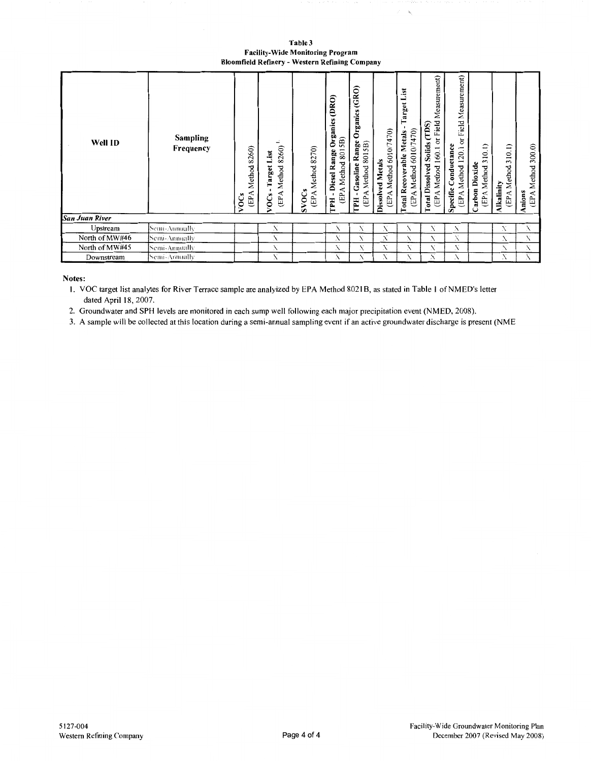| Table 3                                        |
|------------------------------------------------|
| <b>Facility-Wide Monitoring Program</b>        |
| Bloomfield Refinery - Western Refining Company |

 $\mathbf{t}_i$ 

| Well ID        | <b>Sampling</b><br>Frequency |  | 8260)<br>List<br>Target 1<br>Method<br>$\blacksquare$<br>(EPA<br>VOCs | Method 8270)<br><b>SVOCs</b><br>(EPA | Organics (DRO)<br>5B)<br>Diesel Range<br>801<br>Method<br>4<br>臼<br>巴<br>٠<br><b>Hd.</b> | Organics (GRO)<br><b>Gasoline Range</b><br>5B)<br>801<br>Method<br>(EPA<br><b>Hd.I</b> | (EPA Method 6010/7470)<br><b>Dissolved Metals</b> | arget List<br>(EPA Method 6010/7470)<br>Total Recoverable Metals | Measurement)<br>or Field<br>Solids (TDS)<br>160.1<br><b>Total Dissolved</b><br>(EPA Method | or Field Measurement)<br>Conductance<br>120.1<br>(EPA Method<br>Specific | 10.1<br>$\tilde{\phantom{0}}$<br>Carbon Dioxide<br>Method<br>(EPA | 310.1)<br>Method<br><b>Alkalinity</b><br>(EPA | (EPA Method 300.0)<br>Anions |
|----------------|------------------------------|--|-----------------------------------------------------------------------|--------------------------------------|------------------------------------------------------------------------------------------|----------------------------------------------------------------------------------------|---------------------------------------------------|------------------------------------------------------------------|--------------------------------------------------------------------------------------------|--------------------------------------------------------------------------|-------------------------------------------------------------------|-----------------------------------------------|------------------------------|
| San Juan River |                              |  |                                                                       |                                      |                                                                                          |                                                                                        |                                                   |                                                                  |                                                                                            |                                                                          |                                                                   |                                               |                              |
| Upstream       | Semi-Annually                |  | N                                                                     |                                      | N                                                                                        | X                                                                                      | N                                                 | Х                                                                | N                                                                                          | X                                                                        |                                                                   | Х                                             | X                            |
| North of MW#46 | Semi-Anmally                 |  | N                                                                     |                                      | Х                                                                                        | X                                                                                      | X                                                 | X                                                                | X                                                                                          | X                                                                        |                                                                   | Х                                             | X                            |
| North of MW#45 | Semi-Annually                |  | N                                                                     |                                      | N                                                                                        | Х                                                                                      | X                                                 | X                                                                | N                                                                                          | X                                                                        |                                                                   | N                                             | N.                           |
| Downstream     | Semi-Annually                |  | N                                                                     |                                      | Х                                                                                        | Х                                                                                      | N                                                 | X                                                                | Х                                                                                          | X                                                                        |                                                                   | N                                             | N.                           |

**Notes:** 

I. VOC target list analytes for River Terrace sample are analyized by EPA Method 8021 B, as stated in Table I of NMED's letter dated April 18, 2007.

2. Groundwater and SPH levels are monitored in each sump well following each major precipitation event (NMED, 2008).

3. A sample will be collected at this location during a semi-annual sampling event if an active groundwater discharge is present (NME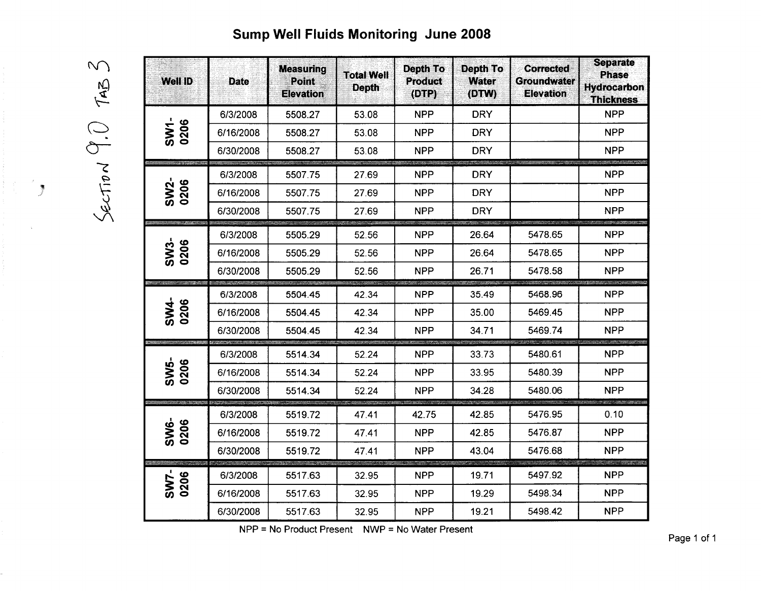# Sump Well Fluids Monitoring June 2008

 $\mathcal{N}_{\mathcal{N}}$  $\widetilde{C}$  $\frac{1}{2}$ 

 $\sim$ 

 $\frac{1}{2}$ 

| <b>Well ID</b>      | <b>Date</b> | <b>Measuring</b><br>Point<br><b>Elevation</b> | <b>Total Well</b><br><b>Depth</b> | Depth To<br><b>Product</b><br>(DTP) | <b>Depth To</b><br><b>Water</b><br>(DTW) | <b>Corrected</b><br>Groundwater<br><b>Elevation</b> | <b>Separate</b><br><b>Phase</b><br><b>Hydrocarbon</b><br><b>Thickness</b> |
|---------------------|-------------|-----------------------------------------------|-----------------------------------|-------------------------------------|------------------------------------------|-----------------------------------------------------|---------------------------------------------------------------------------|
|                     | 6/3/2008    | 5508.27                                       | 53.08                             | <b>NPP</b>                          | <b>DRY</b>                               |                                                     | <b>NPP</b>                                                                |
| SW1-<br>0206        | 6/16/2008   | 5508.27                                       | 53.08                             | <b>NPP</b>                          | <b>DRY</b>                               |                                                     | <b>NPP</b>                                                                |
|                     | 6/30/2008   | 5508.27                                       | 53.08                             | <b>NPP</b>                          | <b>DRY</b>                               |                                                     | <b>NPP</b>                                                                |
|                     | 6/3/2008    | 5507.75                                       | 27.69                             | <b>NPP</b>                          | <b>DRY</b>                               |                                                     | <b>NPP</b>                                                                |
| <b>SW2-</b><br>0206 | 6/16/2008   | 5507.75                                       | 27.69                             | <b>NPP</b>                          | <b>DRY</b>                               |                                                     | <b>NPP</b>                                                                |
|                     | 6/30/2008   | 5507.75                                       | 27.69                             | <b>NPP</b>                          | <b>DRY</b>                               |                                                     | <b>NPP</b>                                                                |
|                     | 6/3/2008    | 5505.29                                       | 52.56                             | <b>NPP</b>                          | 26.64                                    | 5478.65                                             | <b>NPP</b>                                                                |
| SW3-<br>0206        | 6/16/2008   | 5505.29                                       | 52.56                             | <b>NPP</b>                          | 26.64                                    | 5478.65                                             | <b>NPP</b>                                                                |
|                     | 6/30/2008   | 5505.29                                       | 52.56                             | <b>NPP</b>                          | 26.71                                    | 5478.58                                             | <b>NPP</b>                                                                |
|                     | 6/3/2008    | 5504.45                                       | 42.34                             | <b>NPP</b>                          | 35.49                                    | 5468.96                                             | <b>NPP</b>                                                                |
| SW4-<br>0206        | 6/16/2008   | 5504.45                                       | 42.34                             | <b>NPP</b>                          | 35.00                                    | 5469.45                                             | <b>NPP</b>                                                                |
|                     | 6/30/2008   | 5504.45                                       | 42.34                             | <b>NPP</b>                          | 34.71                                    | 5469.74                                             | <b>NPP</b>                                                                |
|                     | 6/3/2008    | 5514.34                                       | 52.24                             | <b>NPP</b>                          | 33.73                                    | 5480.61                                             | <b>NPP</b>                                                                |
| SW5-<br>0206        | 6/16/2008   | 5514.34                                       | 52.24                             | <b>NPP</b>                          | 33.95                                    | 5480.39                                             | <b>NPP</b>                                                                |
|                     | 6/30/2008   | 5514.34                                       | 52.24                             | <b>NPP</b>                          | 34.28                                    | 5480.06                                             | <b>NPP</b>                                                                |
|                     | 6/3/2008    | 5519.72                                       | 47.41                             | 42.75                               | 42.85                                    | 5476.95                                             | 0.10                                                                      |
| SW6-<br>0206        | 6/16/2008   | 5519.72                                       | 47.41                             | <b>NPP</b>                          | 42.85                                    | 5476.87                                             | <b>NPP</b>                                                                |
|                     | 6/30/2008   | 5519.72                                       | 47.41                             | <b>NPP</b>                          | 43.04                                    | 5476.68                                             | <b>NPP</b>                                                                |
|                     | 6/3/2008    | 5517.63                                       | 32.95                             | <b>NPP</b>                          | 19.71                                    | 5497.92                                             | AG MARINA<br><b>NPP</b>                                                   |
| SW7-<br>0206        | 6/16/2008   | 5517.63                                       | 32.95                             | <b>NPP</b>                          | 19.29                                    | 5498.34                                             | <b>NPP</b>                                                                |
|                     | 6/30/2008   | 5517.63                                       | 32.95                             | <b>NPP</b>                          | 19.21                                    | 5498.42                                             | <b>NPP</b>                                                                |

NPP = No Product Present NWP = No Water Present